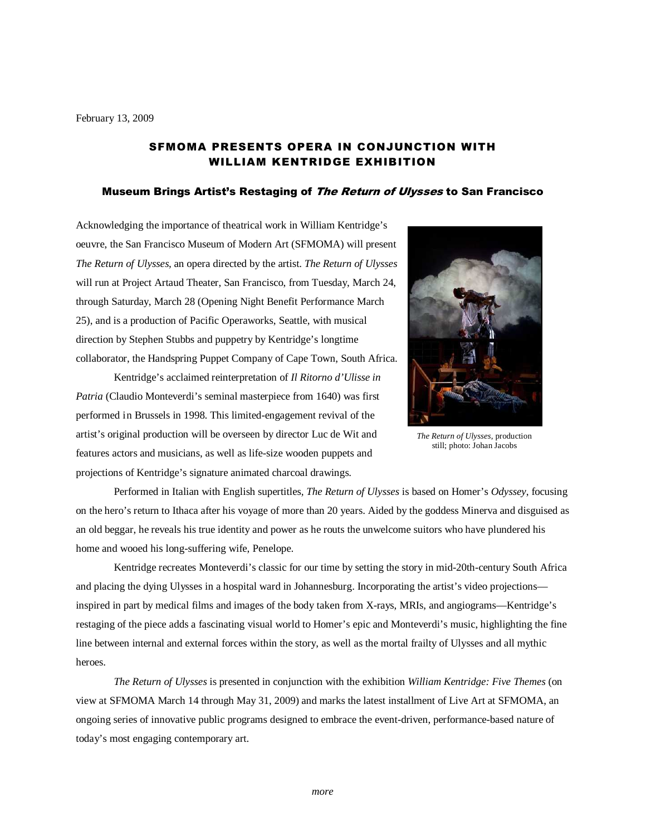# SFMOMA PRESENTS OPERA IN CONJUNCTION WITH WILLIAM KENTRIDGE EXHIBITION

#### Museum Brings Artist's Restaging of The Return of Ulysses to San Francisco

Acknowledging the importance of theatrical work in William Kentridge's oeuvre, the San Francisco Museum of Modern Art (SFMOMA) will present *The Return of Ulysses,* an opera directed by the artist. *The Return of Ulysses*  will run at Project Artaud Theater, San Francisco, from Tuesday, March 24, through Saturday, March 28 (Opening Night Benefit Performance March 25), and is a production of Pacific Operaworks, Seattle, with musical direction by Stephen Stubbs and puppetry by Kentridge's longtime collaborator, the Handspring Puppet Company of Cape Town, South Africa.

Kentridge's acclaimed reinterpretation of *Il Ritorno d'Ulisse in Patria* (Claudio Monteverdi's seminal masterpiece from 1640) was first performed in Brussels in 1998. This limited-engagement revival of the artist's original production will be overseen by director Luc de Wit and features actors and musicians, as well as life-size wooden puppets and projections of Kentridge's signature animated charcoal drawings.



*The Return of Ulysses*, production still; photo: Johan Jacobs

Performed in Italian with English supertitles*, The Return of Ulysses* is based on Homer's *Odyssey*, focusing on the hero's return to Ithaca after his voyage of more than 20 years. Aided by the goddess Minerva and disguised as an old beggar, he reveals his true identity and power as he routs the unwelcome suitors who have plundered his home and wooed his long-suffering wife, Penelope.

Kentridge recreates Monteverdi's classic for our time by setting the story in mid-20th-century South Africa and placing the dying Ulysses in a hospital ward in Johannesburg. Incorporating the artist's video projections inspired in part by medical films and images of the body taken from X-rays, MRIs, and angiograms—Kentridge's restaging of the piece adds a fascinating visual world to Homer's epic and Monteverdi's music, highlighting the fine line between internal and external forces within the story, as well as the mortal frailty of Ulysses and all mythic heroes.

*The Return of Ulysses* is presented in conjunction with the exhibition *William Kentridge: Five Themes* (on view at SFMOMA March 14 through May 31, 2009) and marks the latest installment of Live Art at SFMOMA, an ongoing series of innovative public programs designed to embrace the event-driven, performance-based nature of today's most engaging contemporary art.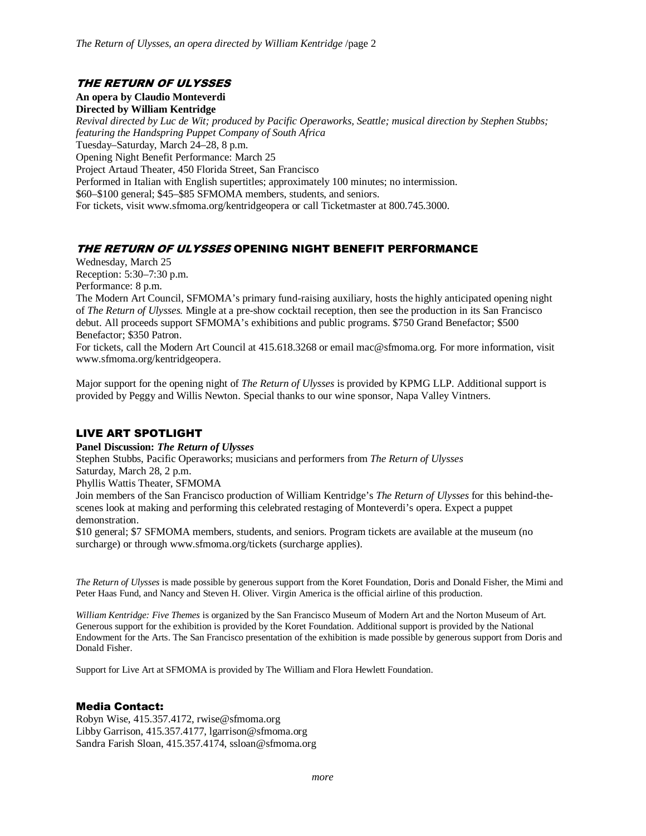# THE RETURN OF ULYSSES

**An opera by Claudio Monteverdi** 

**Directed by William Kentridge** 

*Revival directed by Luc de Wit; produced by Pacific Operaworks, Seattle; musical direction by Stephen Stubbs; featuring the Handspring Puppet Company of South Africa*  Tuesday–Saturday, March 24–28, 8 p.m.

Opening Night Benefit Performance: March 25

Project Artaud Theater, 450 Florida Street, San Francisco

Performed in Italian with English supertitles; approximately 100 minutes; no intermission.

\$60–\$100 general; \$45–\$85 SFMOMA members, students, and seniors.

For tickets, visit www.sfmoma.org/kentridgeopera or call Ticketmaster at 800.745.3000.

# THE RETURN OF ULYSSES OPENING NIGHT BENEFIT PERFORMANCE

Wednesday, March 25 Reception: 5:30–7:30 p.m. Performance: 8 p.m.

The Modern Art Council, SFMOMA's primary fund-raising auxiliary, hosts the highly anticipated opening night of *The Return of Ulysses.* Mingle at a pre-show cocktail reception, then see the production in its San Francisco debut. All proceeds support SFMOMA's exhibitions and public programs. \$750 Grand Benefactor; \$500 Benefactor; \$350 Patron.

For tickets, call the Modern Art Council at 415.618.3268 or email mac@sfmoma.org. For more information, visit www.sfmoma.org/kentridgeopera.

Major support for the opening night of *The Return of Ulysses* is provided by KPMG LLP. Additional support is provided by Peggy and Willis Newton. Special thanks to our wine sponsor, Napa Valley Vintners.

# LIVE ART SPOTLIGHT

**Panel Discussion:** *The Return of Ulysses*

Stephen Stubbs, Pacific Operaworks; musicians and performers from *The Return of Ulysses* Saturday, March 28, 2 p.m. Phyllis Wattis Theater, SFMOMA

Join members of the San Francisco production of William Kentridge's *The Return of Ulysses* for this behind-thescenes look at making and performing this celebrated restaging of Monteverdi's opera. Expect a puppet demonstration.

\$10 general; \$7 SFMOMA members, students, and seniors. Program tickets are available at the museum (no surcharge) or through www.sfmoma.org/tickets (surcharge applies).

*The Return of Ulysses* is made possible by generous support from the Koret Foundation, Doris and Donald Fisher, the Mimi and Peter Haas Fund, and Nancy and Steven H. Oliver. Virgin America is the official airline of this production.

*William Kentridge: Five Themes* is organized by the San Francisco Museum of Modern Art and the Norton Museum of Art. Generous support for the exhibition is provided by the Koret Foundation. Additional support is provided by the National Endowment for the Arts. The San Francisco presentation of the exhibition is made possible by generous support from Doris and Donald Fisher.

Support for Live Art at SFMOMA is provided by The William and Flora Hewlett Foundation.

# Media Contact:

Robyn Wise, 415.357.4172, rwise@sfmoma.org Libby Garrison, 415.357.4177, lgarrison@sfmoma.org Sandra Farish Sloan, 415.357.4174, ssloan@sfmoma.org